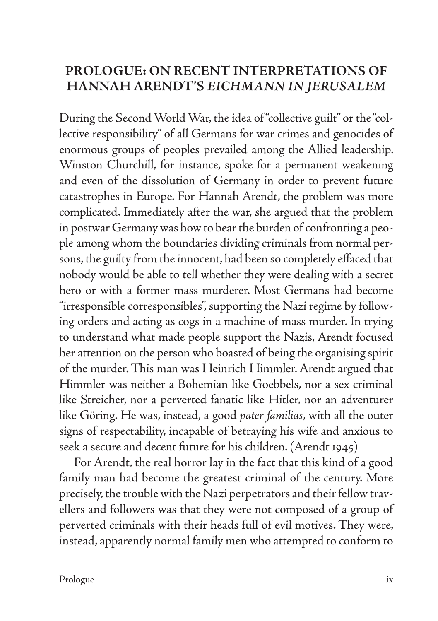## **PROLOGUE: ON RECENT INTERPRETATIONS OF HANNAH ARENDT'S** *EICHMANN IN JERUSALEM*

During the Second World War, the idea of "collective guilt" or the "collective responsibility" of all Germans for war crimes and genocides of enormous groups of peoples prevailed among the Allied leadership. Winston Churchill, for instance, spoke for a permanent weakening and even of the dissolution of Germany in order to prevent future catastrophes in Europe. For Hannah Arendt, the problem was more complicated. Immediately after the war, she argued that the problem in postwar Germany was how to bear the burden of confronting a people among whom the boundaries dividing criminals from normal persons, the guilty from the innocent, had been so completely effaced that nobody would be able to tell whether they were dealing with a secret hero or with a former mass murderer. Most Germans had become "irresponsible corresponsibles", supporting the Nazi regime by following orders and acting as cogs in a machine of mass murder. In trying to understand what made people support the Nazis, Arendt focused her attention on the person who boasted of being the organising spirit of the murder. This man was Heinrich Himmler. Arendt argued that Himmler was neither a Bohemian like Goebbels, nor a sex criminal like Streicher, nor a perverted fanatic like Hitler, nor an adventurer like Göring. He was, instead, a good *pater familias*, with all the outer signs of respectability, incapable of betraying his wife and anxious to seek a secure and decent future for his children. (Arendt 1945)

For Arendt, the real horror lay in the fact that this kind of a good family man had become the greatest criminal of the century. More precisely, the trouble with the Nazi perpetrators and their fellow travellers and followers was that they were not composed of a group of perverted criminals with their heads full of evil motives. They were, instead, apparently normal family men who attempted to conform to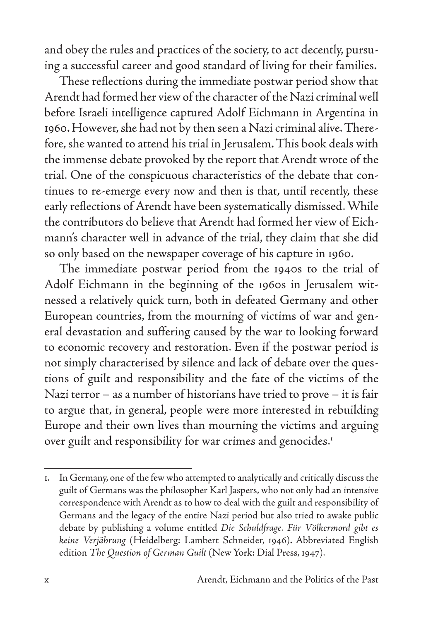and obey the rules and practices of the society, to act decently, pursuing a successful career and good standard of living for their families.

These reflections during the immediate postwar period show that Arendt had formed her view of the character of the Nazi criminal well before Israeli intelligence captured Adolf Eichmann in Argentina in 1960. However, she had not by then seen a Nazi criminal alive. Therefore, she wanted to attend his trial in Jerusalem. This book deals with the immense debate provoked by the report that Arendt wrote of the trial. One of the conspicuous characteristics of the debate that continues to re-emerge every now and then is that, until recently, these early reflections of Arendt have been systematically dismissed. While the contributors do believe that Arendt had formed her view of Eichmann's character well in advance of the trial, they claim that she did so only based on the newspaper coverage of his capture in 1960.

The immediate postwar period from the 1940s to the trial of Adolf Eichmann in the beginning of the 1960s in Jerusalem witnessed a relatively quick turn, both in defeated Germany and other European countries, from the mourning of victims of war and general devastation and suffering caused by the war to looking forward to economic recovery and restoration. Even if the postwar period is not simply characterised by silence and lack of debate over the questions of guilt and responsibility and the fate of the victims of the Nazi terror – as a number of historians have tried to prove – it is fair to argue that, in general, people were more interested in rebuilding Europe and their own lives than mourning the victims and arguing over guilt and responsibility for war crimes and genocides.<sup>1</sup>

<sup>1.</sup> In Germany, one of the few who attempted to analytically and critically discuss the guilt of Germans was the philosopher Karl Jaspers, who not only had an intensive correspondence with Arendt as to how to deal with the guilt and responsibility of Germans and the legacy of the entire Nazi period but also tried to awake public debate by publishing a volume entitled *Die Schuldfrage. Für Völkermord gibt es keine Verjährung* (Heidelberg: Lambert Schneider, 1946). Abbreviated English edition *The Question of German Guilt* (New York: Dial Press, 1947).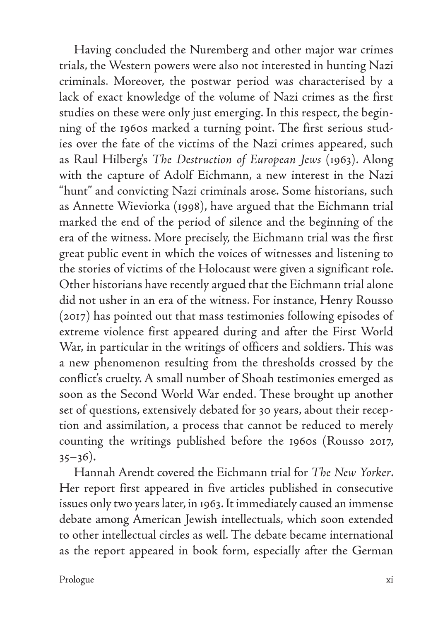Having concluded the Nuremberg and other major war crimes trials, the Western powers were also not interested in hunting Nazi criminals. Moreover, the postwar period was characterised by a lack of exact knowledge of the volume of Nazi crimes as the first studies on these were only just emerging. In this respect, the beginning of the 1960s marked a turning point. The first serious studies over the fate of the victims of the Nazi crimes appeared, such as Raul Hilberg's *The Destruction of European Jews* (1963). Along with the capture of Adolf Eichmann, a new interest in the Nazi "hunt" and convicting Nazi criminals arose. Some historians, such as Annette Wieviorka (1998), have argued that the Eichmann trial marked the end of the period of silence and the beginning of the era of the witness. More precisely, the Eichmann trial was the first great public event in which the voices of witnesses and listening to the stories of victims of the Holocaust were given a significant role. Other historians have recently argued that the Eichmann trial alone did not usher in an era of the witness. For instance, Henry Rousso (2017) has pointed out that mass testimonies following episodes of extreme violence first appeared during and after the First World War, in particular in the writings of officers and soldiers. This was a new phenomenon resulting from the thresholds crossed by the conflict's cruelty. A small number of Shoah testimonies emerged as soon as the Second World War ended. These brought up another set of questions, extensively debated for 30 years, about their reception and assimilation, a process that cannot be reduced to merely counting the writings published before the 1960s (Rousso 2017,  $35-36$ ).

Hannah Arendt covered the Eichmann trial for *The New Yorker*. Her report first appeared in five articles published in consecutive issues only two years later, in 1963. It immediately caused an immense debate among American Jewish intellectuals, which soon extended to other intellectual circles as well. The debate became international as the report appeared in book form, especially after the German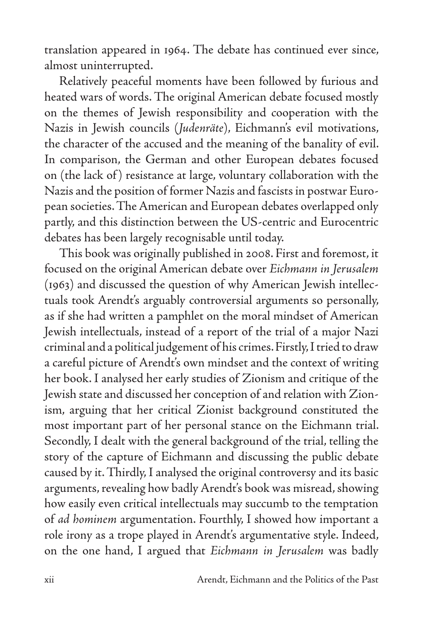translation appeared in 1964. The debate has continued ever since, almost uninterrupted.

Relatively peaceful moments have been followed by furious and heated wars of words. The original American debate focused mostly on the themes of Jewish responsibility and cooperation with the Nazis in Jewish councils (*Judenräte*), Eichmann's evil motivations, the character of the accused and the meaning of the banality of evil. In comparison, the German and other European debates focused on (the lack of) resistance at large, voluntary collaboration with the Nazis and the position of former Nazis and fascists in postwar European societies. The American and European debates overlapped only partly, and this distinction between the US-centric and Eurocentric debates has been largely recognisable until today.

This book was originally published in 2008. First and foremost, it focused on the original American debate over *Eichmann in Jerusalem* (1963) and discussed the question of why American Jewish intellectuals took Arendt's arguably controversial arguments so personally, as if she had written a pamphlet on the moral mindset of American Jewish intellectuals, instead of a report of the trial of a major Nazi criminal and a political judgement of his crimes. Firstly, I tried to draw a careful picture of Arendt's own mindset and the context of writing her book. I analysed her early studies of Zionism and critique of the Jewish state and discussed her conception of and relation with Zionism, arguing that her critical Zionist background constituted the most important part of her personal stance on the Eichmann trial. Secondly, I dealt with the general background of the trial, telling the story of the capture of Eichmann and discussing the public debate caused by it. Thirdly, I analysed the original controversy and its basic arguments, revealing how badly Arendt's book was misread, showing how easily even critical intellectuals may succumb to the temptation of *ad hominem* argumentation. Fourthly, I showed how important a role irony as a trope played in Arendt's argumentative style. Indeed, on the one hand, I argued that *Eichmann in Jerusalem* was badly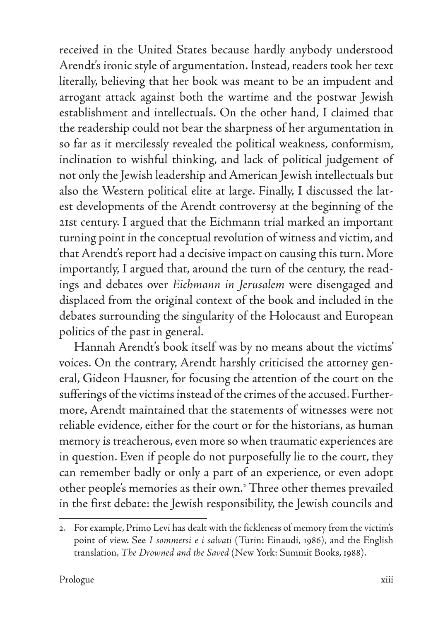received in the United States because hardly anybody understood Arendt's ironic style of argumentation. Instead, readers took her text literally, believing that her book was meant to be an impudent and arrogant attack against both the wartime and the postwar Jewish establishment and intellectuals. On the other hand, I claimed that the readership could not bear the sharpness of her argumentation in so far as it mercilessly revealed the political weakness, conformism, inclination to wishful thinking, and lack of political judgement of not only the Jewish leadership and American Jewish intellectuals but also the Western political elite at large. Finally, I discussed the latest developments of the Arendt controversy at the beginning of the 21st century. I argued that the Eichmann trial marked an important turning point in the conceptual revolution of witness and victim, and that Arendt's report had a decisive impact on causing this turn. More importantly, I argued that, around the turn of the century, the readings and debates over *Eichmann in Jerusalem* were disengaged and displaced from the original context of the book and included in the debates surrounding the singularity of the Holocaust and European politics of the past in general.

Hannah Arendt's book itself was by no means about the victims' voices. On the contrary, Arendt harshly criticised the attorney general, Gideon Hausner, for focusing the attention of the court on the sufferings of the victims instead of the crimes of the accused. Furthermore, Arendt maintained that the statements of witnesses were not reliable evidence, either for the court or for the historians, as human memory is treacherous, even more so when traumatic experiences are in question. Even if people do not purposefully lie to the court, they can remember badly or only a part of an experience, or even adopt other people's memories as their own.2 Three other themes prevailed in the first debate: the Jewish responsibility, the Jewish councils and

<sup>2.</sup> For example, Primo Levi has dealt with the fickleness of memory from the victim's point of view. See *I sommersi e i salvati* (Turin: Einaudi, 1986), and the English translation, *The Drowned and the Saved* (New York: Summit Books, 1988).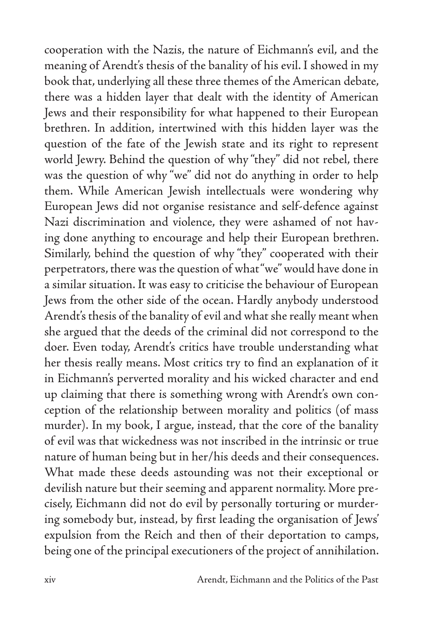cooperation with the Nazis, the nature of Eichmann's evil, and the meaning of Arendt's thesis of the banality of his evil. I showed in my book that, underlying all these three themes of the American debate, there was a hidden layer that dealt with the identity of American Jews and their responsibility for what happened to their European brethren. In addition, intertwined with this hidden layer was the question of the fate of the Jewish state and its right to represent world Jewry. Behind the question of why "they" did not rebel, there was the question of why "we" did not do anything in order to help them. While American Jewish intellectuals were wondering why European Jews did not organise resistance and self-defence against Nazi discrimination and violence, they were ashamed of not having done anything to encourage and help their European brethren. Similarly, behind the question of why "they" cooperated with their perpetrators, there was the question of what "we" would have done in a similar situation. It was easy to criticise the behaviour of European Jews from the other side of the ocean. Hardly anybody understood Arendt's thesis of the banality of evil and what she really meant when she argued that the deeds of the criminal did not correspond to the doer. Even today, Arendt's critics have trouble understanding what her thesis really means. Most critics try to find an explanation of it in Eichmann's perverted morality and his wicked character and end up claiming that there is something wrong with Arendt's own conception of the relationship between morality and politics (of mass murder). In my book, I argue, instead, that the core of the banality of evil was that wickedness was not inscribed in the intrinsic or true nature of human being but in her/his deeds and their consequences. What made these deeds astounding was not their exceptional or devilish nature but their seeming and apparent normality. More precisely, Eichmann did not do evil by personally torturing or murdering somebody but, instead, by first leading the organisation of Jews' expulsion from the Reich and then of their deportation to camps, being one of the principal executioners of the project of annihilation.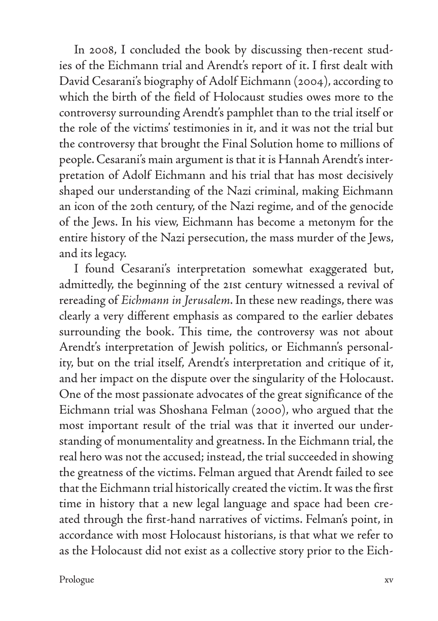In 2008, I concluded the book by discussing then-recent studies of the Eichmann trial and Arendt's report of it. I first dealt with David Cesarani's biography of Adolf Eichmann (2004), according to which the birth of the field of Holocaust studies owes more to the controversy surrounding Arendt's pamphlet than to the trial itself or the role of the victims' testimonies in it, and it was not the trial but the controversy that brought the Final Solution home to millions of people. Cesarani's main argument is that it is Hannah Arendt's interpretation of Adolf Eichmann and his trial that has most decisively shaped our understanding of the Nazi criminal, making Eichmann an icon of the 20th century, of the Nazi regime, and of the genocide of the Jews. In his view, Eichmann has become a metonym for the entire history of the Nazi persecution, the mass murder of the Jews, and its legacy.

I found Cesarani's interpretation somewhat exaggerated but, admittedly, the beginning of the 21st century witnessed a revival of rereading of *Eichmann in Jerusalem*. In these new readings, there was clearly a very different emphasis as compared to the earlier debates surrounding the book. This time, the controversy was not about Arendt's interpretation of Jewish politics, or Eichmann's personality, but on the trial itself, Arendt's interpretation and critique of it, and her impact on the dispute over the singularity of the Holocaust. One of the most passionate advocates of the great significance of the Eichmann trial was Shoshana Felman (2000), who argued that the most important result of the trial was that it inverted our understanding of monumentality and greatness. In the Eichmann trial, the real hero was not the accused; instead, the trial succeeded in showing the greatness of the victims. Felman argued that Arendt failed to see that the Eichmann trial historically created the victim. It was the first time in history that a new legal language and space had been created through the first-hand narratives of victims. Felman's point, in accordance with most Holocaust historians, is that what we refer to as the Holocaust did not exist as a collective story prior to the Eich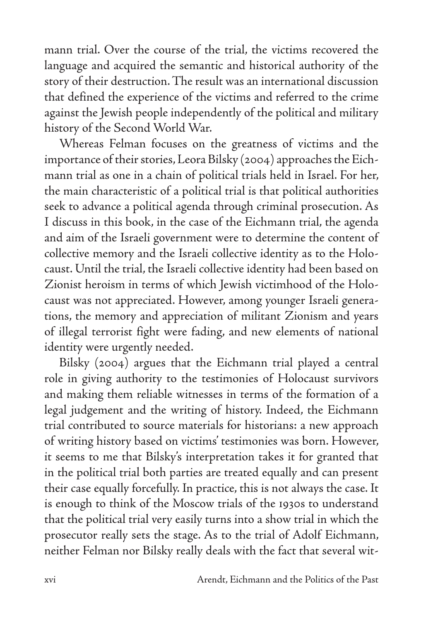mann trial. Over the course of the trial, the victims recovered the language and acquired the semantic and historical authority of the story of their destruction. The result was an international discussion that defined the experience of the victims and referred to the crime against the Jewish people independently of the political and military history of the Second World War.

Whereas Felman focuses on the greatness of victims and the importance of their stories, Leora Bilsky (2004) approaches the Eichmann trial as one in a chain of political trials held in Israel. For her, the main characteristic of a political trial is that political authorities seek to advance a political agenda through criminal prosecution. As I discuss in this book, in the case of the Eichmann trial, the agenda and aim of the Israeli government were to determine the content of collective memory and the Israeli collective identity as to the Holocaust. Until the trial, the Israeli collective identity had been based on Zionist heroism in terms of which Jewish victimhood of the Holocaust was not appreciated. However, among younger Israeli generations, the memory and appreciation of militant Zionism and years of illegal terrorist fight were fading, and new elements of national identity were urgently needed.

Bilsky (2004) argues that the Eichmann trial played a central role in giving authority to the testimonies of Holocaust survivors and making them reliable witnesses in terms of the formation of a legal judgement and the writing of history. Indeed, the Eichmann trial contributed to source materials for historians: a new approach of writing history based on victims' testimonies was born. However, it seems to me that Bilsky's interpretation takes it for granted that in the political trial both parties are treated equally and can present their case equally forcefully. In practice, this is not always the case. It is enough to think of the Moscow trials of the 1930s to understand that the political trial very easily turns into a show trial in which the prosecutor really sets the stage. As to the trial of Adolf Eichmann, neither Felman nor Bilsky really deals with the fact that several wit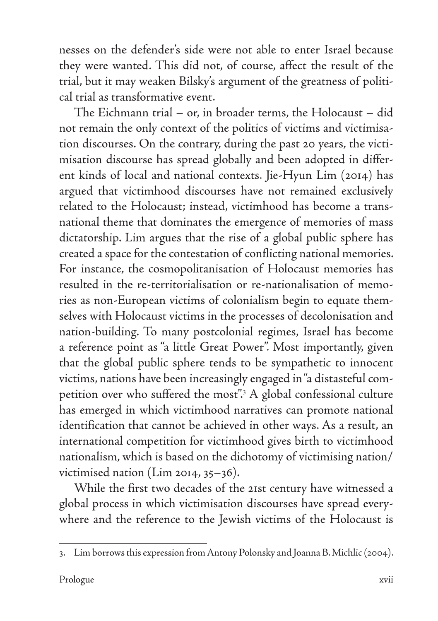nesses on the defender's side were not able to enter Israel because they were wanted. This did not, of course, affect the result of the trial, but it may weaken Bilsky's argument of the greatness of political trial as transformative event.

The Eichmann trial – or, in broader terms, the Holocaust – did not remain the only context of the politics of victims and victimisation discourses. On the contrary, during the past 20 years, the victimisation discourse has spread globally and been adopted in different kinds of local and national contexts. Jie-Hyun Lim (2014) has argued that victimhood discourses have not remained exclusively related to the Holocaust; instead, victimhood has become a transnational theme that dominates the emergence of memories of mass dictatorship. Lim argues that the rise of a global public sphere has created a space for the contestation of conflicting national memories. For instance, the cosmopolitanisation of Holocaust memories has resulted in the re-territorialisation or re-nationalisation of memories as non-European victims of colonialism begin to equate themselves with Holocaust victims in the processes of decolonisation and nation-building. To many postcolonial regimes, Israel has become a reference point as "a little Great Power". Most importantly, given that the global public sphere tends to be sympathetic to innocent victims, nations have been increasingly engaged in "a distasteful competition over who suffered the most".3 A global confessional culture has emerged in which victimhood narratives can promote national identification that cannot be achieved in other ways. As a result, an international competition for victimhood gives birth to victimhood nationalism, which is based on the dichotomy of victimising nation/ victimised nation (Lim 2014, 35–36).

While the first two decades of the 21st century have witnessed a global process in which victimisation discourses have spread everywhere and the reference to the Jewish victims of the Holocaust is

<sup>3.</sup> Lim borrows this expression from Antony Polonsky and Joanna B. Michlic (2004).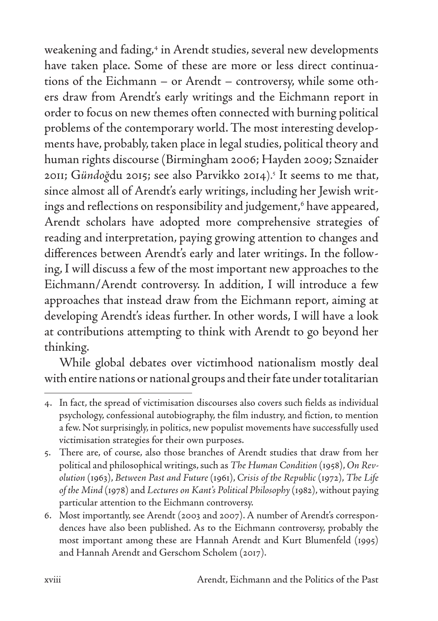weakening and fading,<sup>4</sup> in Arendt studies, several new developments have taken place. Some of these are more or less direct continuations of the Eichmann – or Arendt – controversy, while some others draw from Arendt's early writings and the Eichmann report in order to focus on new themes often connected with burning political problems of the contemporary world. The most interesting developments have, probably, taken place in legal studies, political theory and human rights discourse (Birmingham 2006; Hayden 2009; Sznaider 2011; G*ündoğ*du 2015; see also Parvikko 2014).5 It seems to me that, since almost all of Arendt's early writings, including her Jewish writings and reflections on responsibility and judgement,6 have appeared, Arendt scholars have adopted more comprehensive strategies of reading and interpretation, paying growing attention to changes and differences between Arendt's early and later writings. In the following, I will discuss a few of the most important new approaches to the Eichmann/Arendt controversy. In addition, I will introduce a few approaches that instead draw from the Eichmann report, aiming at developing Arendt's ideas further. In other words, I will have a look at contributions attempting to think with Arendt to go beyond her thinking.

While global debates over victimhood nationalism mostly deal with entire nations or national groups and their fate under totalitarian

<sup>4.</sup> In fact, the spread of victimisation discourses also covers such fields as individual psychology, confessional autobiography, the film industry, and fiction, to mention a few. Not surprisingly, in politics, new populist movements have successfully used victimisation strategies for their own purposes.

<sup>5.</sup> There are, of course, also those branches of Arendt studies that draw from her political and philosophical writings, such as *The Human Condition* (1958), *On Revolution* (1963), *Between Past and Future* (1961), *Crisis of the Republic* (1972), *The Life of the Mind* (1978) and *Lectures on Kant's Political Philosophy* (1982), without paying particular attention to the Eichmann controversy.

<sup>6.</sup> Most importantly, see Arendt (2003 and 2007). A number of Arendt's correspondences have also been published. As to the Eichmann controversy, probably the most important among these are Hannah Arendt and Kurt Blumenfeld (1995) and Hannah Arendt and Gerschom Scholem (2017).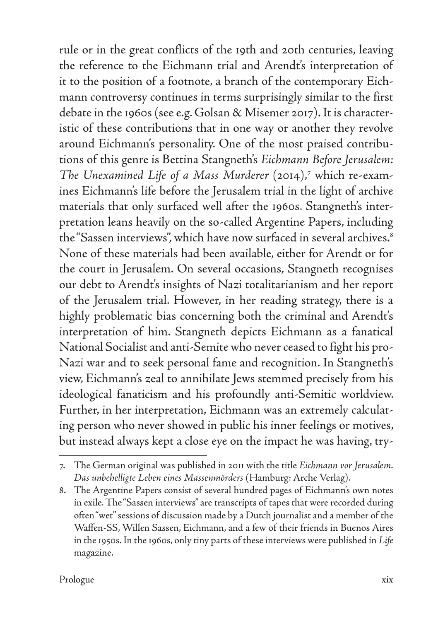rule or in the great conflicts of the 19th and 20th centuries, leaving the reference to the Eichmann trial and Arendt's interpretation of it to the position of a footnote, a branch of the contemporary Eichmann controversy continues in terms surprisingly similar to the first debate in the 1960s (see e.g. Golsan & Misemer 2017). It is characteristic of these contributions that in one way or another they revolve around Eichmann's personality. One of the most praised contributions of this genre is Bettina Stangneth's *Eichmann Before Jerusalem: The Unexamined Life of a Mass Murderer* (2014),7 which re-examines Eichmann's life before the Jerusalem trial in the light of archive materials that only surfaced well after the 1960s. Stangneth's interpretation leans heavily on the so-called Argentine Papers, including the "Sassen interviews", which have now surfaced in several archives.<sup>8</sup> None of these materials had been available, either for Arendt or for the court in Jerusalem. On several occasions, Stangneth recognises our debt to Arendt's insights of Nazi totalitarianism and her report of the Jerusalem trial. However, in her reading strategy, there is a highly problematic bias concerning both the criminal and Arendt's interpretation of him. Stangneth depicts Eichmann as a fanatical National Socialist and anti-Semite who never ceased to fight his pro-Nazi war and to seek personal fame and recognition. In Stangneth's view, Eichmann's zeal to annihilate Jews stemmed precisely from his ideological fanaticism and his profoundly anti-Semitic worldview. Further, in her interpretation, Eichmann was an extremely calculating person who never showed in public his inner feelings or motives, but instead always kept a close eye on the impact he was having, try-

<sup>7.</sup> The German original was published in 2011 with the title *Eichmann vor Jerusalem. Das unbehelligte Leben eines Massenmörders* (Hamburg: Arche Verlag).

<sup>8.</sup> The Argentine Papers consist of several hundred pages of Eichmann's own notes in exile. The "Sassen interviews" are transcripts of tapes that were recorded during often "wet" sessions of discussion made by a Dutch journalist and a member of the Waffen-SS, Willen Sassen, Eichmann, and a few of their friends in Buenos Aires in the 1950s. In the 1960s, only tiny parts of these interviews were published in *Life* magazine.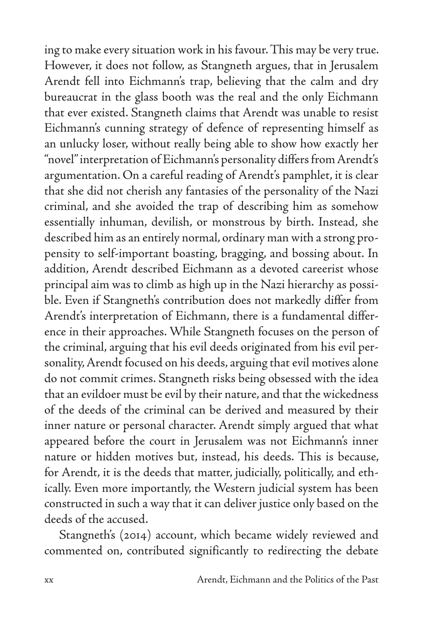ing to make every situation work in his favour. This may be very true. However, it does not follow, as Stangneth argues, that in Jerusalem Arendt fell into Eichmann's trap, believing that the calm and dry bureaucrat in the glass booth was the real and the only Eichmann that ever existed. Stangneth claims that Arendt was unable to resist Eichmann's cunning strategy of defence of representing himself as an unlucky loser, without really being able to show how exactly her "novel" interpretation of Eichmann's personality differs from Arendt's argumentation. On a careful reading of Arendt's pamphlet, it is clear that she did not cherish any fantasies of the personality of the Nazi criminal, and she avoided the trap of describing him as somehow essentially inhuman, devilish, or monstrous by birth. Instead, she described him as an entirely normal, ordinary man with a strong propensity to self-important boasting, bragging, and bossing about. In addition, Arendt described Eichmann as a devoted careerist whose principal aim was to climb as high up in the Nazi hierarchy as possible. Even if Stangneth's contribution does not markedly differ from Arendt's interpretation of Eichmann, there is a fundamental difference in their approaches. While Stangneth focuses on the person of the criminal, arguing that his evil deeds originated from his evil personality, Arendt focused on his deeds, arguing that evil motives alone do not commit crimes. Stangneth risks being obsessed with the idea that an evildoer must be evil by their nature, and that the wickedness of the deeds of the criminal can be derived and measured by their inner nature or personal character. Arendt simply argued that what appeared before the court in Jerusalem was not Eichmann's inner nature or hidden motives but, instead, his deeds. This is because, for Arendt, it is the deeds that matter, judicially, politically, and ethically. Even more importantly, the Western judicial system has been constructed in such a way that it can deliver justice only based on the deeds of the accused.

Stangneth's (2014) account, which became widely reviewed and commented on, contributed significantly to redirecting the debate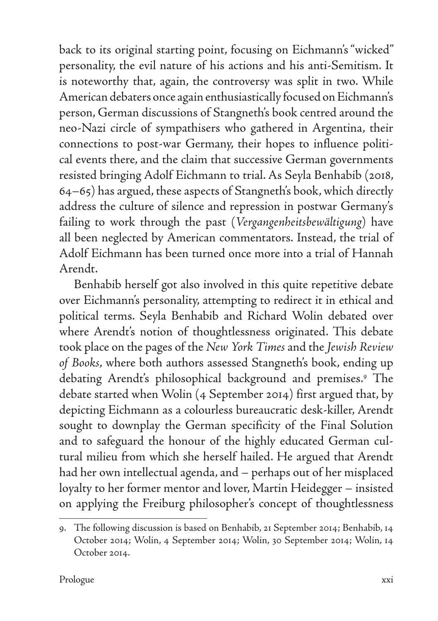back to its original starting point, focusing on Eichmann's "wicked" personality, the evil nature of his actions and his anti-Semitism. It is noteworthy that, again, the controversy was split in two. While American debaters once again enthusiastically focused on Eichmann's person, German discussions of Stangneth's book centred around the neo-Nazi circle of sympathisers who gathered in Argentina, their connections to post-war Germany, their hopes to influence political events there, and the claim that successive German governments resisted bringing Adolf Eichmann to trial. As Seyla Benhabib (2018, 64–65) has argued, these aspects of Stangneth's book, which directly address the culture of silence and repression in postwar Germany's failing to work through the past (*Vergangenheitsbewältigung*) have all been neglected by American commentators. Instead, the trial of Adolf Eichmann has been turned once more into a trial of Hannah Arendt.

Benhabib herself got also involved in this quite repetitive debate over Eichmann's personality, attempting to redirect it in ethical and political terms. Seyla Benhabib and Richard Wolin debated over where Arendt's notion of thoughtlessness originated. This debate took place on the pages of the *New York Times* and the *Jewish Review of Books*, where both authors assessed Stangneth's book, ending up debating Arendt's philosophical background and premises.9 The debate started when Wolin (4 September 2014) first argued that, by depicting Eichmann as a colourless bureaucratic desk-killer, Arendt sought to downplay the German specificity of the Final Solution and to safeguard the honour of the highly educated German cultural milieu from which she herself hailed. He argued that Arendt had her own intellectual agenda, and – perhaps out of her misplaced loyalty to her former mentor and lover, Martin Heidegger – insisted on applying the Freiburg philosopher's concept of thoughtlessness

<sup>9.</sup> The following discussion is based on Benhabib, 21 September 2014; Benhabib, 14 October 2014; Wolin, 4 September 2014; Wolin, 30 September 2014; Wolin, 14 October 2014.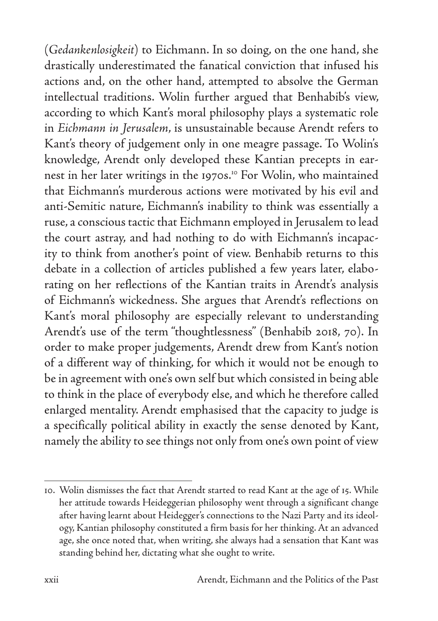(*Gedankenlosigkeit*) to Eichmann. In so doing, on the one hand, she drastically underestimated the fanatical conviction that infused his actions and, on the other hand, attempted to absolve the German intellectual traditions. Wolin further argued that Benhabib's view, according to which Kant's moral philosophy plays a systematic role in *Eichmann in Jerusalem*, is unsustainable because Arendt refers to Kant's theory of judgement only in one meagre passage. To Wolin's knowledge, Arendt only developed these Kantian precepts in earnest in her later writings in the 1970s.<sup>10</sup> For Wolin, who maintained that Eichmann's murderous actions were motivated by his evil and anti-Semitic nature, Eichmann's inability to think was essentially a ruse, a conscious tactic that Eichmann employed in Jerusalem to lead the court astray, and had nothing to do with Eichmann's incapacity to think from another's point of view. Benhabib returns to this debate in a collection of articles published a few years later, elaborating on her reflections of the Kantian traits in Arendt's analysis of Eichmann's wickedness. She argues that Arendt's reflections on Kant's moral philosophy are especially relevant to understanding Arendt's use of the term "thoughtlessness" (Benhabib 2018, 70). In order to make proper judgements, Arendt drew from Kant's notion of a different way of thinking, for which it would not be enough to be in agreement with one's own self but which consisted in being able to think in the place of everybody else, and which he therefore called enlarged mentality. Arendt emphasised that the capacity to judge is a specifically political ability in exactly the sense denoted by Kant, namely the ability to see things not only from one's own point of view

<sup>10.</sup> Wolin dismisses the fact that Arendt started to read Kant at the age of 15. While her attitude towards Heideggerian philosophy went through a significant change after having learnt about Heidegger's connections to the Nazi Party and its ideology, Kantian philosophy constituted a firm basis for her thinking. At an advanced age, she once noted that, when writing, she always had a sensation that Kant was standing behind her, dictating what she ought to write.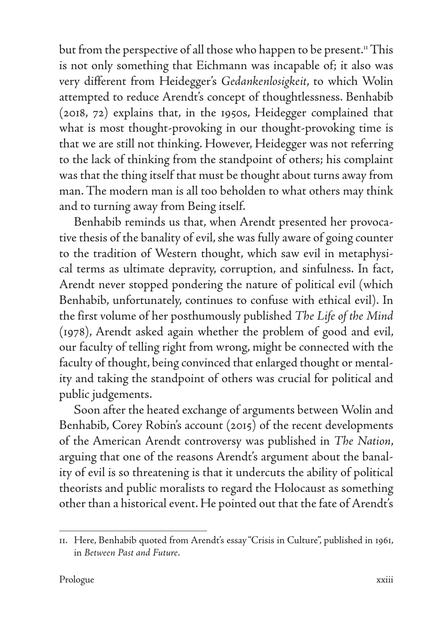but from the perspective of all those who happen to be present.<sup>11</sup> This is not only something that Eichmann was incapable of; it also was very different from Heidegger's *Gedankenlosigkeit*, to which Wolin attempted to reduce Arendt's concept of thoughtlessness. Benhabib (2018, 72) explains that, in the 1950s, Heidegger complained that what is most thought-provoking in our thought-provoking time is that we are still not thinking. However, Heidegger was not referring to the lack of thinking from the standpoint of others; his complaint was that the thing itself that must be thought about turns away from man. The modern man is all too beholden to what others may think and to turning away from Being itself.

Benhabib reminds us that, when Arendt presented her provocative thesis of the banality of evil, she was fully aware of going counter to the tradition of Western thought, which saw evil in metaphysical terms as ultimate depravity, corruption, and sinfulness. In fact, Arendt never stopped pondering the nature of political evil (which Benhabib, unfortunately, continues to confuse with ethical evil). In the first volume of her posthumously published *The Life of the Mind* (1978), Arendt asked again whether the problem of good and evil, our faculty of telling right from wrong, might be connected with the faculty of thought, being convinced that enlarged thought or mentality and taking the standpoint of others was crucial for political and public judgements.

Soon after the heated exchange of arguments between Wolin and Benhabib, Corey Robin's account (2015) of the recent developments of the American Arendt controversy was published in *The Nation*, arguing that one of the reasons Arendt's argument about the banality of evil is so threatening is that it undercuts the ability of political theorists and public moralists to regard the Holocaust as something other than a historical event. He pointed out that the fate of Arendt's

<sup>11.</sup> Here, Benhabib quoted from Arendt's essay "Crisis in Culture", published in 1961, in *Between Past and Future*.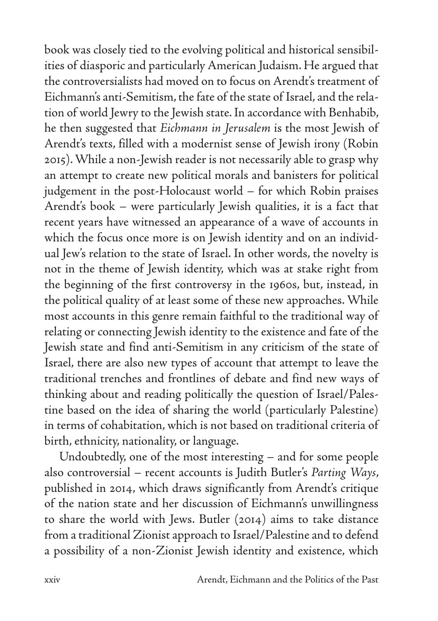book was closely tied to the evolving political and historical sensibilities of diasporic and particularly American Judaism. He argued that the controversialists had moved on to focus on Arendt's treatment of Eichmann's anti-Semitism, the fate of the state of Israel, and the relation of world Jewry to the Jewish state. In accordance with Benhabib, he then suggested that *Eichmann in Jerusalem* is the most Jewish of Arendt's texts, filled with a modernist sense of Jewish irony (Robin 2015). While a non-Jewish reader is not necessarily able to grasp why an attempt to create new political morals and banisters for political judgement in the post-Holocaust world – for which Robin praises Arendt's book – were particularly Jewish qualities, it is a fact that recent years have witnessed an appearance of a wave of accounts in which the focus once more is on Jewish identity and on an individual Jew's relation to the state of Israel. In other words, the novelty is not in the theme of Jewish identity, which was at stake right from the beginning of the first controversy in the 1960s, but, instead, in the political quality of at least some of these new approaches. While most accounts in this genre remain faithful to the traditional way of relating or connecting Jewish identity to the existence and fate of the Jewish state and find anti-Semitism in any criticism of the state of Israel, there are also new types of account that attempt to leave the traditional trenches and frontlines of debate and find new ways of thinking about and reading politically the question of Israel/Palestine based on the idea of sharing the world (particularly Palestine) in terms of cohabitation, which is not based on traditional criteria of birth, ethnicity, nationality, or language.

Undoubtedly, one of the most interesting – and for some people also controversial – recent accounts is Judith Butler's *Parting Ways*, published in 2014, which draws significantly from Arendt's critique of the nation state and her discussion of Eichmann's unwillingness to share the world with Jews. Butler (2014) aims to take distance from a traditional Zionist approach to Israel/Palestine and to defend a possibility of a non-Zionist Jewish identity and existence, which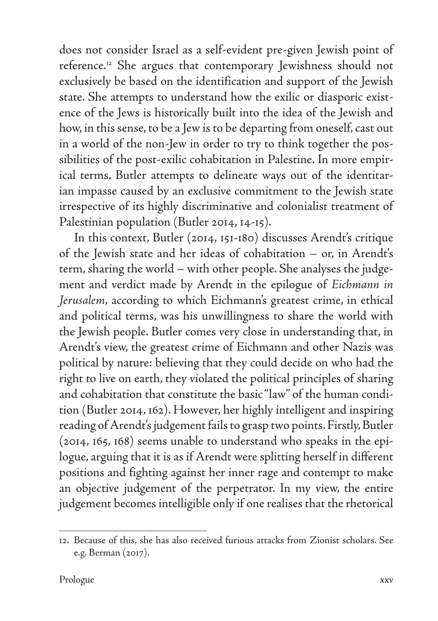does not consider Israel as a self-evident pre-given Jewish point of reference.12 She argues that contemporary Jewishness should not exclusively be based on the identification and support of the Jewish state. She attempts to understand how the exilic or diasporic existence of the Jews is historically built into the idea of the Jewish and how, in this sense, to be a Jew is to be departing from oneself, cast out in a world of the non-Jew in order to try to think together the possibilities of the post-exilic cohabitation in Palestine. In more empirical terms, Butler attempts to delineate ways out of the identitarian impasse caused by an exclusive commitment to the Jewish state irrespective of its highly discriminative and colonialist treatment of Palestinian population (Butler 2014, 14-15).

In this context, Butler (2014, 151-180) discusses Arendt's critique of the Jewish state and her ideas of cohabitation – or, in Arendt's term, sharing the world – with other people. She analyses the judgement and verdict made by Arendt in the epilogue of *Eichmann in Jerusalem*, according to which Eichmann's greatest crime, in ethical and political terms, was his unwillingness to share the world with the Jewish people. Butler comes very close in understanding that, in Arendt's view, the greatest crime of Eichmann and other Nazis was political by nature: believing that they could decide on who had the right to live on earth, they violated the political principles of sharing and cohabitation that constitute the basic "law" of the human condition (Butler 2014, 162). However, her highly intelligent and inspiring reading of Arendt's judgement fails to grasp two points. Firstly, Butler (2014, 165, 168) seems unable to understand who speaks in the epilogue, arguing that it is as if Arendt were splitting herself in different positions and fighting against her inner rage and contempt to make an objective judgement of the perpetrator. In my view, the entire judgement becomes intelligible only if one realises that the rhetorical

<sup>12.</sup> Because of this, she has also received furious attacks from Zionist scholars. See e.g. Berman (2017).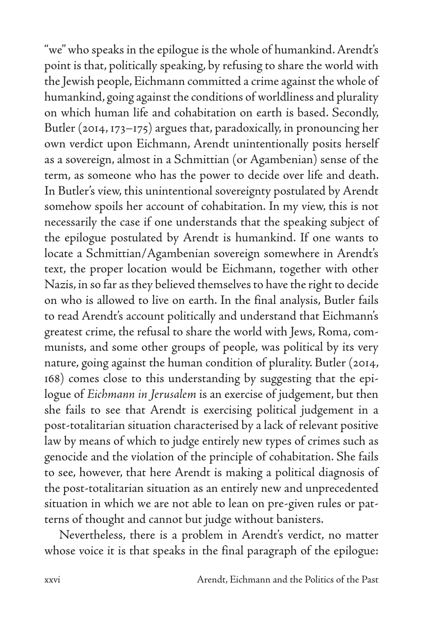"we" who speaks in the epilogue is the whole of humankind. Arendt's point is that, politically speaking, by refusing to share the world with the Jewish people, Eichmann committed a crime against the whole of humankind, going against the conditions of worldliness and plurality on which human life and cohabitation on earth is based. Secondly, Butler (2014, 173–175) argues that, paradoxically, in pronouncing her own verdict upon Eichmann, Arendt unintentionally posits herself as a sovereign, almost in a Schmittian (or Agambenian) sense of the term, as someone who has the power to decide over life and death. In Butler's view, this unintentional sovereignty postulated by Arendt somehow spoils her account of cohabitation. In my view, this is not necessarily the case if one understands that the speaking subject of the epilogue postulated by Arendt is humankind. If one wants to locate a Schmittian/Agambenian sovereign somewhere in Arendt's text, the proper location would be Eichmann, together with other Nazis, in so far as they believed themselves to have the right to decide on who is allowed to live on earth. In the final analysis, Butler fails to read Arendt's account politically and understand that Eichmann's greatest crime, the refusal to share the world with Jews, Roma, communists, and some other groups of people, was political by its very nature, going against the human condition of plurality. Butler (2014, 168) comes close to this understanding by suggesting that the epilogue of *Eichmann in Jerusalem* is an exercise of judgement, but then she fails to see that Arendt is exercising political judgement in a post-totalitarian situation characterised by a lack of relevant positive law by means of which to judge entirely new types of crimes such as genocide and the violation of the principle of cohabitation. She fails to see, however, that here Arendt is making a political diagnosis of the post-totalitarian situation as an entirely new and unprecedented situation in which we are not able to lean on pre-given rules or patterns of thought and cannot but judge without banisters.

Nevertheless, there is a problem in Arendt's verdict, no matter whose voice it is that speaks in the final paragraph of the epilogue: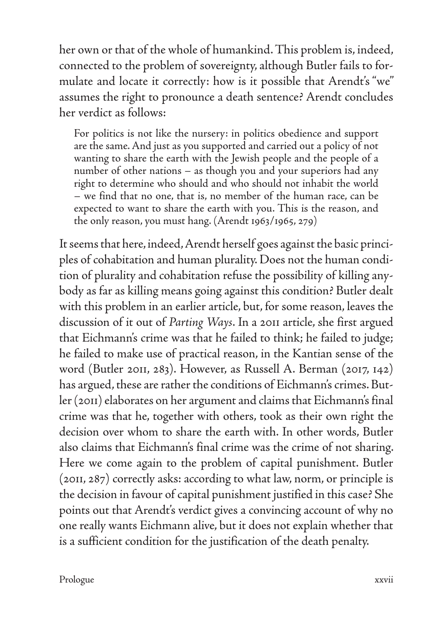her own or that of the whole of humankind. This problem is, indeed, connected to the problem of sovereignty, although Butler fails to formulate and locate it correctly: how is it possible that Arendt's "we" assumes the right to pronounce a death sentence? Arendt concludes her verdict as follows:

For politics is not like the nursery: in politics obedience and support are the same. And just as you supported and carried out a policy of not wanting to share the earth with the Jewish people and the people of a number of other nations – as though you and your superiors had any right to determine who should and who should not inhabit the world – we find that no one, that is, no member of the human race, can be expected to want to share the earth with you. This is the reason, and the only reason, you must hang. (Arendt 1963/1965, 279)

It seems that here, indeed, Arendt herself goes against the basic principles of cohabitation and human plurality. Does not the human condition of plurality and cohabitation refuse the possibility of killing anybody as far as killing means going against this condition? Butler dealt with this problem in an earlier article, but, for some reason, leaves the discussion of it out of *Parting Ways*. In a 2011 article, she first argued that Eichmann's crime was that he failed to think; he failed to judge; he failed to make use of practical reason, in the Kantian sense of the word (Butler 2011, 283). However, as Russell A. Berman (2017, 142) has argued, these are rather the conditions of Eichmann's crimes. Butler (2011) elaborates on her argument and claims that Eichmann's final crime was that he, together with others, took as their own right the decision over whom to share the earth with. In other words, Butler also claims that Eichmann's final crime was the crime of not sharing. Here we come again to the problem of capital punishment. Butler (2011, 287) correctly asks: according to what law, norm, or principle is the decision in favour of capital punishment justified in this case? She points out that Arendt's verdict gives a convincing account of why no one really wants Eichmann alive, but it does not explain whether that is a sufficient condition for the justification of the death penalty.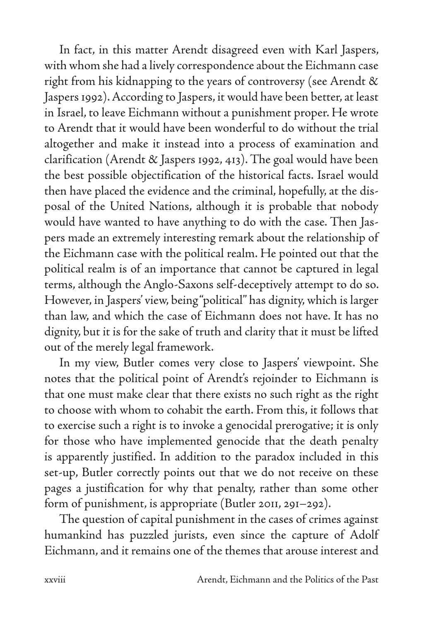In fact, in this matter Arendt disagreed even with Karl Jaspers, with whom she had a lively correspondence about the Eichmann case right from his kidnapping to the years of controversy (see Arendt & Jaspers 1992). According to Jaspers, it would have been better, at least in Israel, to leave Eichmann without a punishment proper. He wrote to Arendt that it would have been wonderful to do without the trial altogether and make it instead into a process of examination and clarification (Arendt & Jaspers 1992, 413). The goal would have been the best possible objectification of the historical facts. Israel would then have placed the evidence and the criminal, hopefully, at the disposal of the United Nations, although it is probable that nobody would have wanted to have anything to do with the case. Then Jaspers made an extremely interesting remark about the relationship of the Eichmann case with the political realm. He pointed out that the political realm is of an importance that cannot be captured in legal terms, although the Anglo-Saxons self-deceptively attempt to do so. However, in Jaspers' view, being "political" has dignity, which is larger than law, and which the case of Eichmann does not have. It has no dignity, but it is for the sake of truth and clarity that it must be lifted out of the merely legal framework.

In my view, Butler comes very close to Jaspers' viewpoint. She notes that the political point of Arendt's rejoinder to Eichmann is that one must make clear that there exists no such right as the right to choose with whom to cohabit the earth. From this, it follows that to exercise such a right is to invoke a genocidal prerogative; it is only for those who have implemented genocide that the death penalty is apparently justified. In addition to the paradox included in this set-up, Butler correctly points out that we do not receive on these pages a justification for why that penalty, rather than some other form of punishment, is appropriate (Butler 2011, 291–292).

The question of capital punishment in the cases of crimes against humankind has puzzled jurists, even since the capture of Adolf Eichmann, and it remains one of the themes that arouse interest and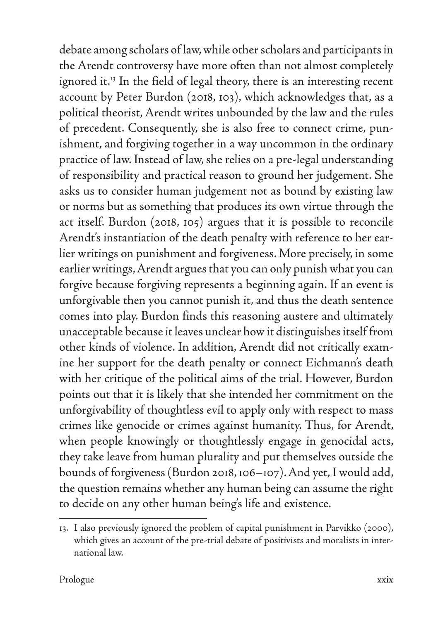debate among scholars of law, while other scholars and participants in the Arendt controversy have more often than not almost completely ignored it.<sup>13</sup> In the field of legal theory, there is an interesting recent account by Peter Burdon (2018, 103), which acknowledges that, as a political theorist, Arendt writes unbounded by the law and the rules of precedent. Consequently, she is also free to connect crime, punishment, and forgiving together in a way uncommon in the ordinary practice of law. Instead of law, she relies on a pre-legal understanding of responsibility and practical reason to ground her judgement. She asks us to consider human judgement not as bound by existing law or norms but as something that produces its own virtue through the act itself. Burdon (2018, 105) argues that it is possible to reconcile Arendt's instantiation of the death penalty with reference to her earlier writings on punishment and forgiveness. More precisely, in some earlier writings, Arendt argues that you can only punish what you can forgive because forgiving represents a beginning again. If an event is unforgivable then you cannot punish it, and thus the death sentence comes into play. Burdon finds this reasoning austere and ultimately unacceptable because it leaves unclear how it distinguishes itself from other kinds of violence. In addition, Arendt did not critically examine her support for the death penalty or connect Eichmann's death with her critique of the political aims of the trial. However, Burdon points out that it is likely that she intended her commitment on the unforgivability of thoughtless evil to apply only with respect to mass crimes like genocide or crimes against humanity. Thus, for Arendt, when people knowingly or thoughtlessly engage in genocidal acts, they take leave from human plurality and put themselves outside the bounds of forgiveness (Burdon 2018, 106–107). And yet, I would add, the question remains whether any human being can assume the right to decide on any other human being's life and existence.

<sup>13.</sup> I also previously ignored the problem of capital punishment in Parvikko (2000), which gives an account of the pre-trial debate of positivists and moralists in international law.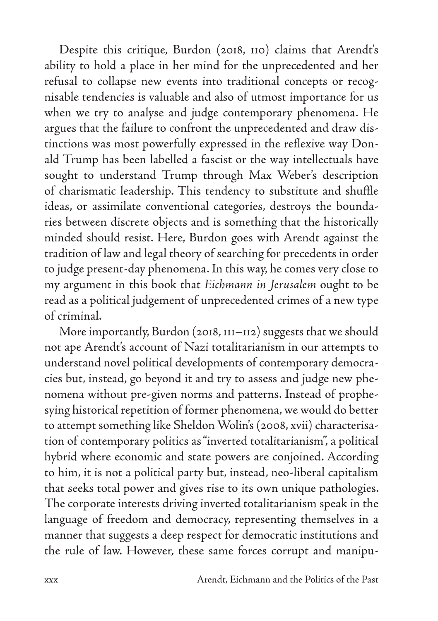Despite this critique, Burdon (2018, 110) claims that Arendt's ability to hold a place in her mind for the unprecedented and her refusal to collapse new events into traditional concepts or recognisable tendencies is valuable and also of utmost importance for us when we try to analyse and judge contemporary phenomena. He argues that the failure to confront the unprecedented and draw distinctions was most powerfully expressed in the reflexive way Donald Trump has been labelled a fascist or the way intellectuals have sought to understand Trump through Max Weber's description of charismatic leadership. This tendency to substitute and shuffle ideas, or assimilate conventional categories, destroys the boundaries between discrete objects and is something that the historically minded should resist. Here, Burdon goes with Arendt against the tradition of law and legal theory of searching for precedents in order to judge present-day phenomena. In this way, he comes very close to my argument in this book that *Eichmann in Jerusalem* ought to be read as a political judgement of unprecedented crimes of a new type of criminal.

More importantly, Burdon (2018, 111–112) suggests that we should not ape Arendt's account of Nazi totalitarianism in our attempts to understand novel political developments of contemporary democracies but, instead, go beyond it and try to assess and judge new phenomena without pre-given norms and patterns. Instead of prophesying historical repetition of former phenomena, we would do better to attempt something like Sheldon Wolin's (2008, xvii) characterisation of contemporary politics as "inverted totalitarianism", a political hybrid where economic and state powers are conjoined. According to him, it is not a political party but, instead, neo-liberal capitalism that seeks total power and gives rise to its own unique pathologies. The corporate interests driving inverted totalitarianism speak in the language of freedom and democracy, representing themselves in a manner that suggests a deep respect for democratic institutions and the rule of law. However, these same forces corrupt and manipu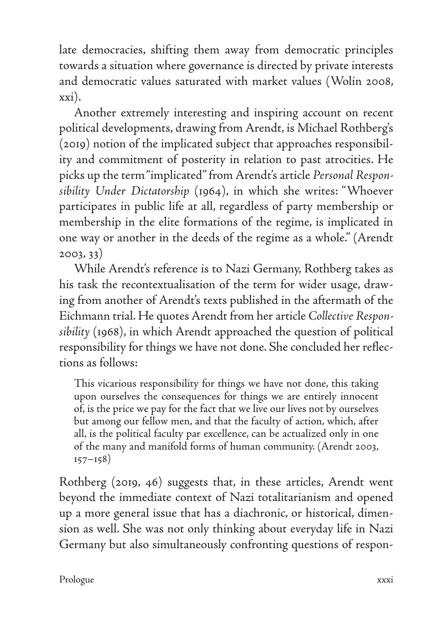late democracies, shifting them away from democratic principles towards a situation where governance is directed by private interests and democratic values saturated with market values (Wolin 2008, xxi).

Another extremely interesting and inspiring account on recent political developments, drawing from Arendt, is Michael Rothberg's (2019) notion of the implicated subject that approaches responsibility and commitment of posterity in relation to past atrocities. He picks up the term "implicated" from Arendt's article *Personal Responsibility Under Dictatorship* (1964), in which she writes: "Whoever participates in public life at all, regardless of party membership or membership in the elite formations of the regime, is implicated in one way or another in the deeds of the regime as a whole." (Arendt 2003, 33)

While Arendt's reference is to Nazi Germany, Rothberg takes as his task the recontextualisation of the term for wider usage, drawing from another of Arendt's texts published in the aftermath of the Eichmann trial. He quotes Arendt from her article *Collective Responsibility* (1968), in which Arendt approached the question of political responsibility for things we have not done. She concluded her reflections as follows:

This vicarious responsibility for things we have not done, this taking upon ourselves the consequences for things we are entirely innocent of, is the price we pay for the fact that we live our lives not by ourselves but among our fellow men, and that the faculty of action, which, after all, is the political faculty par excellence, can be actualized only in one of the many and manifold forms of human community. (Arendt 2003,  $157 - 158$ 

Rothberg (2019, 46) suggests that, in these articles, Arendt went beyond the immediate context of Nazi totalitarianism and opened up a more general issue that has a diachronic, or historical, dimension as well. She was not only thinking about everyday life in Nazi Germany but also simultaneously confronting questions of respon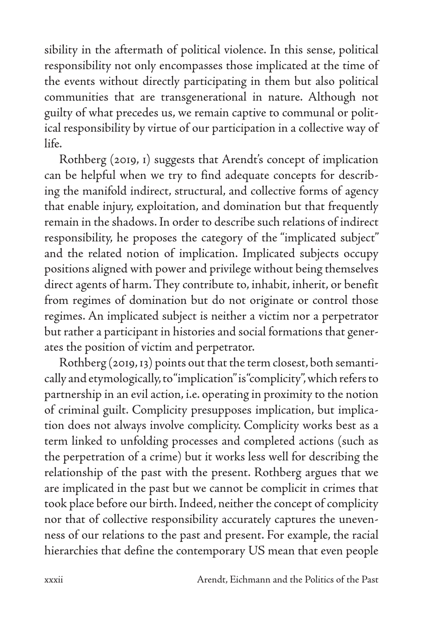sibility in the aftermath of political violence. In this sense, political responsibility not only encompasses those implicated at the time of the events without directly participating in them but also political communities that are transgenerational in nature. Although not guilty of what precedes us, we remain captive to communal or political responsibility by virtue of our participation in a collective way of life.

Rothberg (2019, 1) suggests that Arendt's concept of implication can be helpful when we try to find adequate concepts for describing the manifold indirect, structural, and collective forms of agency that enable injury, exploitation, and domination but that frequently remain in the shadows. In order to describe such relations of indirect responsibility, he proposes the category of the "implicated subject" and the related notion of implication. Implicated subjects occupy positions aligned with power and privilege without being themselves direct agents of harm. They contribute to, inhabit, inherit, or benefit from regimes of domination but do not originate or control those regimes. An implicated subject is neither a victim nor a perpetrator but rather a participant in histories and social formations that generates the position of victim and perpetrator.

Rothberg (2019, 13) points out that the term closest, both semantically and etymologically, to "implication" is "complicity", which refers to partnership in an evil action, i.e. operating in proximity to the notion of criminal guilt. Complicity presupposes implication, but implication does not always involve complicity. Complicity works best as a term linked to unfolding processes and completed actions (such as the perpetration of a crime) but it works less well for describing the relationship of the past with the present. Rothberg argues that we are implicated in the past but we cannot be complicit in crimes that took place before our birth. Indeed, neither the concept of complicity nor that of collective responsibility accurately captures the unevenness of our relations to the past and present. For example, the racial hierarchies that define the contemporary US mean that even people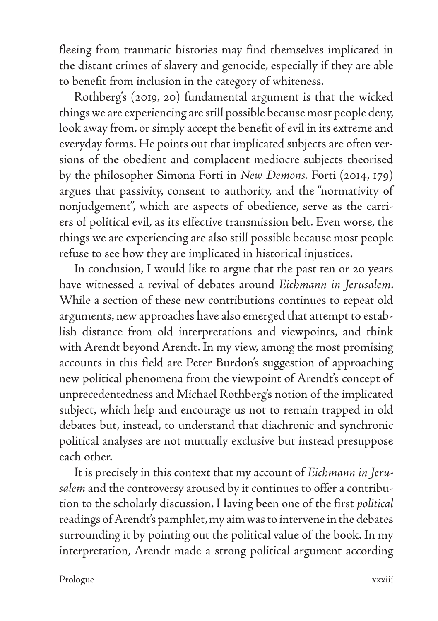fleeing from traumatic histories may find themselves implicated in the distant crimes of slavery and genocide, especially if they are able to benefit from inclusion in the category of whiteness.

Rothberg's (2019, 20) fundamental argument is that the wicked things we are experiencing are still possible because most people deny, look away from, or simply accept the benefit of evil in its extreme and everyday forms. He points out that implicated subjects are often versions of the obedient and complacent mediocre subjects theorised by the philosopher Simona Forti in *New Demons*. Forti (2014, 179) argues that passivity, consent to authority, and the "normativity of nonjudgement", which are aspects of obedience, serve as the carriers of political evil, as its effective transmission belt. Even worse, the things we are experiencing are also still possible because most people refuse to see how they are implicated in historical injustices.

In conclusion, I would like to argue that the past ten or 20 years have witnessed a revival of debates around *Eichmann in Jerusalem*. While a section of these new contributions continues to repeat old arguments, new approaches have also emerged that attempt to establish distance from old interpretations and viewpoints, and think with Arendt beyond Arendt. In my view, among the most promising accounts in this field are Peter Burdon's suggestion of approaching new political phenomena from the viewpoint of Arendt's concept of unprecedentedness and Michael Rothberg's notion of the implicated subject, which help and encourage us not to remain trapped in old debates but, instead, to understand that diachronic and synchronic political analyses are not mutually exclusive but instead presuppose each other.

It is precisely in this context that my account of *Eichmann in Jerusalem* and the controversy aroused by it continues to offer a contribution to the scholarly discussion. Having been one of the first *political* readings of Arendt's pamphlet, my aim was to intervene in the debates surrounding it by pointing out the political value of the book. In my interpretation, Arendt made a strong political argument according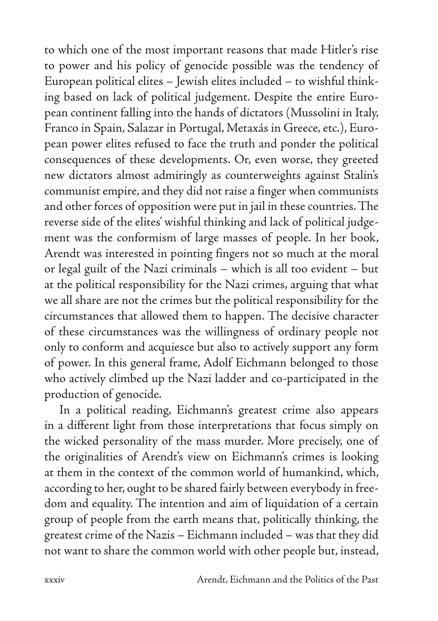to which one of the most important reasons that made Hitler's rise to power and his policy of genocide possible was the tendency of European political elites – Jewish elites included – to wishful thinking based on lack of political judgement. Despite the entire European continent falling into the hands of dictators (Mussolini in Italy, Franco in Spain, Salazar in Portugal, Metaxás in Greece, etc.), European power elites refused to face the truth and ponder the political consequences of these developments. Or, even worse, they greeted new dictators almost admiringly as counterweights against Stalin's communist empire, and they did not raise a finger when communists and other forces of opposition were put in jail in these countries. The reverse side of the elites' wishful thinking and lack of political judgement was the conformism of large masses of people. In her book, Arendt was interested in pointing fingers not so much at the moral or legal guilt of the Nazi criminals – which is all too evident – but at the political responsibility for the Nazi crimes, arguing that what we all share are not the crimes but the political responsibility for the circumstances that allowed them to happen. The decisive character of these circumstances was the willingness of ordinary people not only to conform and acquiesce but also to actively support any form of power. In this general frame, Adolf Eichmann belonged to those who actively climbed up the Nazi ladder and co-participated in the production of genocide.

In a political reading, Eichmann's greatest crime also appears in a different light from those interpretations that focus simply on the wicked personality of the mass murder. More precisely, one of the originalities of Arendt's view on Eichmann's crimes is looking at them in the context of the common world of humankind, which, according to her, ought to be shared fairly between everybody in freedom and equality. The intention and aim of liquidation of a certain group of people from the earth means that, politically thinking, the greatest crime of the Nazis – Eichmann included – was that they did not want to share the common world with other people but, instead,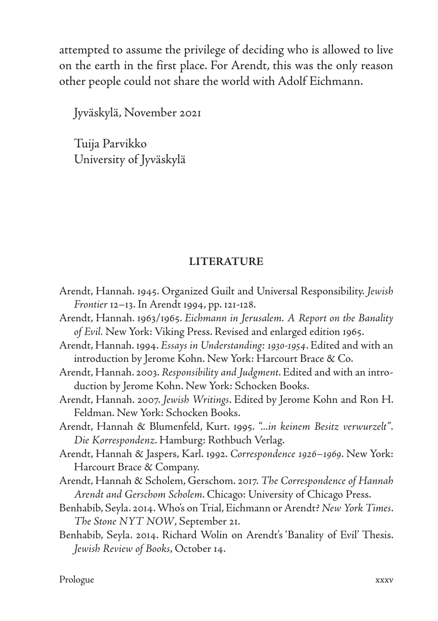attempted to assume the privilege of deciding who is allowed to live on the earth in the first place. For Arendt, this was the only reason other people could not share the world with Adolf Eichmann.

Jyväskylä, November 2021

Tuija Parvikko University of Jyväskylä

## **LITERATURE**

| Arendt, Hannah. 1945. Organized Guilt and Universal Responsibility. Jewish   |
|------------------------------------------------------------------------------|
| Frontier 12-13. In Arendt 1994, pp. 121-128.                                 |
| Arendt, Hannah. 1963/1965. Eichmann in Jerusalem. A Report on the Banality   |
| of Evil. New York: Viking Press. Revised and enlarged edition 1965.          |
| Arendt, Hannah. 1994. Essays in Understanding: 1930-1954. Edited and with an |
| introduction by Jerome Kohn. New York: Harcourt Brace & Co.                  |
| Arendt, Hannah. 2003. Responsibility and Judgment. Edited and with an intro- |
| duction by Jerome Kohn. New York: Schocken Books.                            |
| Arendt, Hannah. 2007. Jewish Writings. Edited by Jerome Kohn and Ron H.      |
| Feldman. New York: Schocken Books.                                           |
| Arendt, Hannah & Blumenfeld, Kurt. 1995. "in keinem Besitz verwurzelt".      |
| Die Korrespondenz. Hamburg: Rothbuch Verlag.                                 |
| Arendt, Hannah & Jaspers, Karl. 1992. Correspondence 1926-1969. New York:    |
| Harcourt Brace & Company.                                                    |
| Arendt, Hannah & Scholem, Gerschom. 2017. The Correspondence of Hannah       |
| Arendt and Gerschom Scholem. Chicago: University of Chicago Press.           |
| Benhabib, Seyla. 2014. Who's on Trial, Eichmann or Arendt? New York Times.   |
| The Stone NYT NOW, September 21.                                             |
| Benhabib, Seyla. 2014. Richard Wolin on Arendt's 'Banality of Evil' Thesis.  |
| Jewish Review of Books, October 14.                                          |
|                                                                              |
|                                                                              |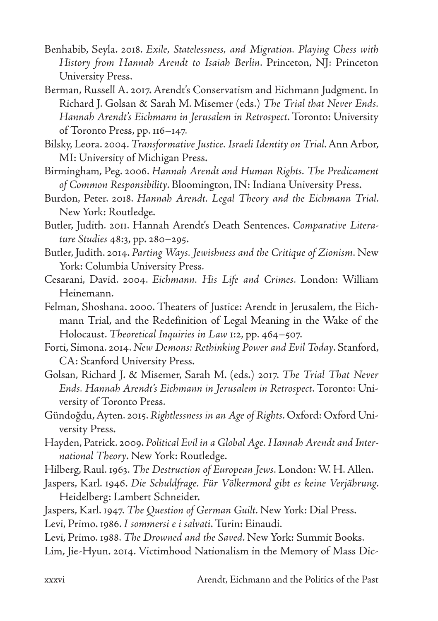- Benhabib, Seyla. 2018. *Exile, Statelessness, and Migration. Playing Chess with History from Hannah Arendt to Isaiah Berlin*. Princeton, NJ: Princeton University Press.
- Berman, Russell A. 2017. Arendt's Conservatism and Eichmann Judgment. In Richard J. Golsan & Sarah M. Misemer (eds.) *The Trial that Never Ends. Hannah Arendt's Eichmann in Jerusalem in Retrospect*. Toronto: University of Toronto Press, pp. 116–147.
- Bilsky, Leora. 2004. *Transformative Justice. Israeli Identity on Trial*. Ann Arbor, MI: University of Michigan Press.
- Birmingham, Peg. 2006. *Hannah Arendt and Human Rights. The Predicament of Common Responsibility*. Bloomington, IN: Indiana University Press.
- Burdon, Peter. 2018. *Hannah Arendt. Legal Theory and the Eichmann Trial*. New York: Routledge.
- Butler, Judith. 2011. Hannah Arendt's Death Sentences. *Comparative Literature Studies* 48:3, pp. 280–295.
- Butler, Judith. 2014. *Parting Ways. Jewishness and the Critique of Zionism*. New York: Columbia University Press.
- Cesarani, David. 2004. *Eichmann. His Life and Crimes*. London: William Heinemann.
- Felman, Shoshana. 2000. Theaters of Justice: Arendt in Jerusalem, the Eichmann Trial, and the Redefinition of Legal Meaning in the Wake of the Holocaust. *Theoretical Inquiries in Law* 1:2, pp. 464–507.
- Forti, Simona. 2014. *New Demons: Rethinking Power and Evil Today*. Stanford, CA: Stanford University Press.
- Golsan, Richard J. & Misemer, Sarah M. (eds.) 2017. *The Trial That Never Ends. Hannah Arendt's Eichmann in Jerusalem in Retrospect*. Toronto: University of Toronto Press.
- Gündoğdu, Ayten. 2015. *Rightlessness in an Age of Rights*. Oxford: Oxford University Press.
- Hayden, Patrick. 2009. *Political Evil in a Global Age. Hannah Arendt and International Theory*. New York: Routledge.
- Hilberg, Raul. 1963. *The Destruction of European Jews*. London: W. H. Allen.
- Jaspers, Karl. 1946. *Die Schuldfrage. Für Völkermord gibt es keine Verjährung*. Heidelberg: Lambert Schneider.
- Jaspers, Karl. 1947. *The Question of German Guilt*. New York: Dial Press.
- Levi, Primo. 1986. *I sommersi e i salvati*. Turin: Einaudi.
- Levi, Primo. 1988. *The Drowned and the Saved*. New York: Summit Books.
- Lim, Jie-Hyun. 2014. Victimhood Nationalism in the Memory of Mass Dic-